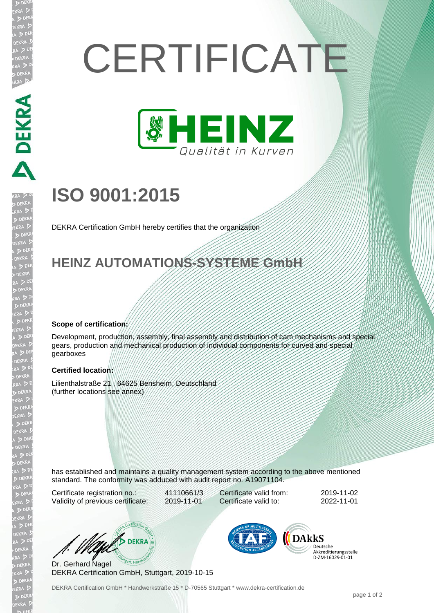# **CERTIFICATE**



## **ISO 9001:2015**

DEKRA Certification GmbH hereby certifies that the organization

### **HEINZ AUTOMATIONS-SYSTEME GmbH**

#### **Scope of certification:**

**ABLANTICAL** 

Development, production, assembly, final assembly and distribution of cam mechanisms and special gears, production and mechanical production of individual components for curved and special gearboxes

#### **Certified location:**

Lilienthalstraße 21 , 64625 Bensheim, Deutschland (further locations see annex)

has established and maintains a quality management system according to the above mentioned standard. The conformity was adduced with audit report no. A19071104.

Certificate registration no.: 41110661/3 Validity of previous certificate: 2019-11-01

Certificate valid from: 2019-11-02 Certificate valid to: 2022-11-01

W/ DEKRA

Dr. Gerhard Nagel DEKRA Certification GmbH, Stuttgart, 2019-10-15



Deutsche Akkreditierungsstelle D-7M-16029-01-01

DEKRA Certification GmbH \* Handwerkstraße 15 \* D-70565 Stuttgart \* www.dekra-certification.de